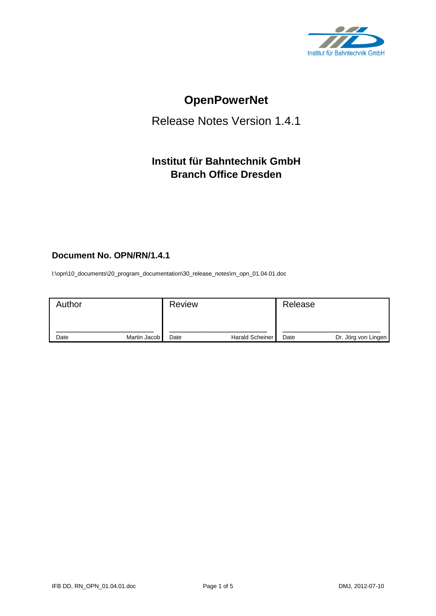

# **OpenPowerNet**

# Release Notes Version 1.4.1

## **Institut für Bahntechnik GmbH Branch Office Dresden**

## **Document No. OPN/RN/1.4.1**

l:\opn\10\_documents\20\_program\_documentation\30\_release\_notes\rn\_opn\_01.04.01.doc

| Author |              | <b>Review</b> |                        | Release |                     |
|--------|--------------|---------------|------------------------|---------|---------------------|
| Date   | Martin Jacob | Date          | <b>Harald Scheiner</b> | Date    | Dr. Jörg von Lingen |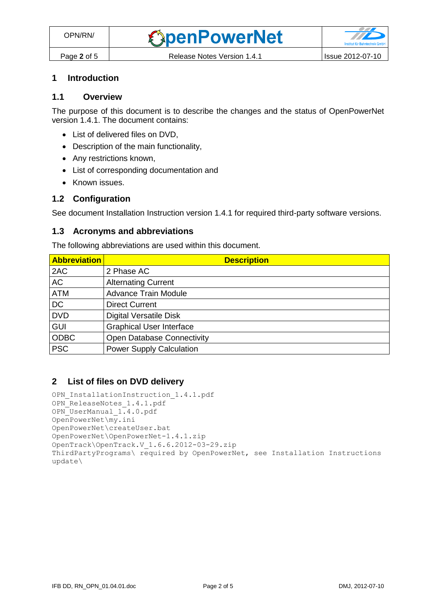## **1 Introduction**

#### **1.1 Overview**

The purpose of this document is to describe the changes and the status of OpenPowerNet version 1.4.1. The document contains:

- List of delivered files on DVD,
- Description of the main functionality,
- Any restrictions known,
- List of corresponding documentation and
- Known issues.

#### **1.2 Configuration**

See document Installation Instruction version 1.4.1 for required third-party software versions.

#### **1.3 Acronyms and abbreviations**

The following abbreviations are used within this document.

| <b>Abbreviation</b> | <b>Description</b>                |
|---------------------|-----------------------------------|
| 2AC                 | 2 Phase AC                        |
| <b>AC</b>           | <b>Alternating Current</b>        |
| <b>ATM</b>          | <b>Advance Train Module</b>       |
| <b>DC</b>           | <b>Direct Current</b>             |
| <b>DVD</b>          | <b>Digital Versatile Disk</b>     |
| <b>GUI</b>          | <b>Graphical User Interface</b>   |
| <b>ODBC</b>         | <b>Open Database Connectivity</b> |
| <b>PSC</b>          | <b>Power Supply Calculation</b>   |

### **2 List of files on DVD delivery**

```
OPN InstallationInstruction 1.4.1.pdf
OPN ReleaseNotes 1.4.1.pdf
OPN_UserManual_1.4.0.pdf
OpenPowerNet\my.ini
OpenPowerNet\createUser.bat
OpenPowerNet\OpenPowerNet-1.4.1.zip
OpenTrack\OpenTrack.V_1.6.6.2012-03-29.zip
ThirdPartyPrograms\ required by OpenPowerNet, see Installation Instructions
update\
```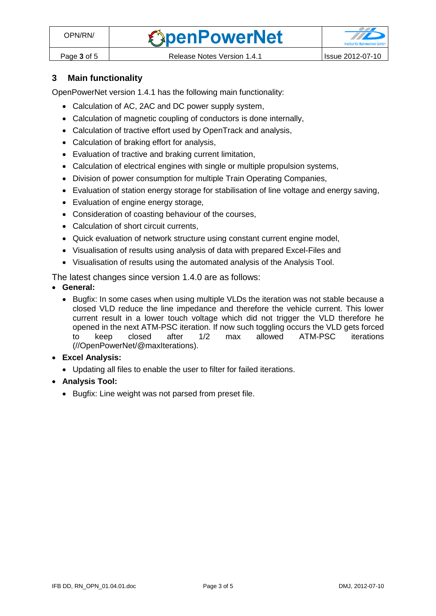

## **3 Main functionality**

OpenPowerNet version 1.4.1 has the following main functionality:

- Calculation of AC, 2AC and DC power supply system,
- Calculation of magnetic coupling of conductors is done internally,
- Calculation of tractive effort used by OpenTrack and analysis,
- Calculation of braking effort for analysis,
- Evaluation of tractive and braking current limitation,
- Calculation of electrical engines with single or multiple propulsion systems,
- Division of power consumption for multiple Train Operating Companies,
- Evaluation of station energy storage for stabilisation of line voltage and energy saving,
- Evaluation of engine energy storage,
- Consideration of coasting behaviour of the courses,
- Calculation of short circuit currents,
- Quick evaluation of network structure using constant current engine model,
- Visualisation of results using analysis of data with prepared Excel-Files and
- Visualisation of results using the automated analysis of the Analysis Tool.

The latest changes since version 1.4.0 are as follows:

- **General:**
	- Bugfix: In some cases when using multiple VLDs the iteration was not stable because a closed VLD reduce the line impedance and therefore the vehicle current. This lower current result in a lower touch voltage which did not trigger the VLD therefore he opened in the next ATM-PSC iteration. If now such toggling occurs the VLD gets forced to keep closed after 1/2 max allowed ATM-PSC iterations (//OpenPowerNet/@maxIterations).
- **Excel Analysis:**
	- Updating all files to enable the user to filter for failed iterations.
- **Analysis Tool:**
	- Bugfix: Line weight was not parsed from preset file.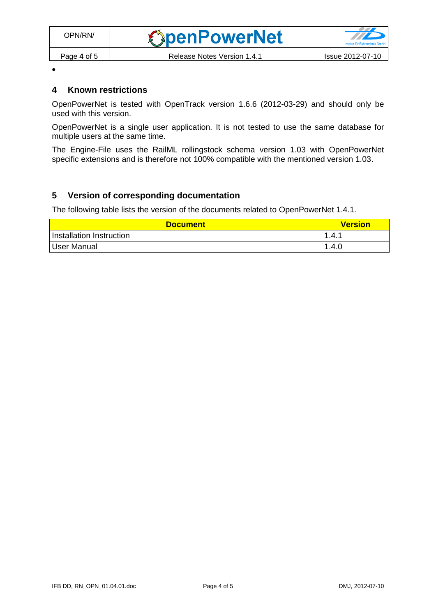$\bullet$ 

## **4 Known restrictions**

OpenPowerNet is tested with OpenTrack version 1.6.6 (2012-03-29) and should only be used with this version.

OpenPowerNet is a single user application. It is not tested to use the same database for multiple users at the same time.

The Engine-File uses the RailML rollingstock schema version 1.03 with OpenPowerNet specific extensions and is therefore not 100% compatible with the mentioned version 1.03.

## **5 Version of corresponding documentation**

The following table lists the version of the documents related to OpenPowerNet 1.4.1.

| <b>Document</b>          | <b>Version</b> |
|--------------------------|----------------|
| Installation Instruction | 1.4.1          |
| User Manual              | 1.4.0          |